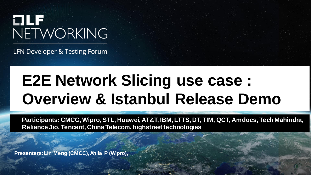

LFN Developer & Testing Forum

### **E2E Network Slicing use case : Overview & Istanbul Release Demo**

**Participants: CMCC, Wipro, STL, Huawei, AT&T, IBM, LTTS, DT, TIM, QCT, Amdocs, Tech Mahindra, Reliance Jio, Tencent, China Telecom, highstreet technologies**

Sensitivity: Internal & Restricted

**Presenters: Lin Meng (CMCC),Ahila P (Wipro),**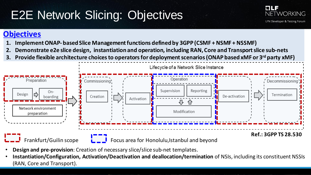### E2E Network Slicing: Objectives



#### **Objectives**

- **1. ImplementONAP- basedSlice Managementfunctions definedby 3GPP (CSMF + NSMF + NSSMF)**
- **2. Demonstrate e2e slice design, instantiation and operation, including RAN, Core and Transport slice sub-nets**
- **3. Provide flexible architecture choicesto operators for deploymentscenarios(ONAP basedxMF or 3 rd party xMF)**



- **Design and pre-provision**: Creation of necessary slice/slice sub-net templates.
- **Instantiation/Configuration, Activation/Deactivation and deallocation/termination** of NSIs, including its constituent NSSIs (RAN, Core and Transport).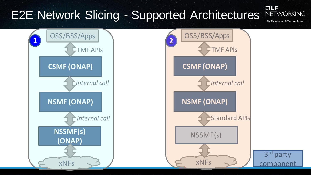#### t La E2E Network Slicing - Supported Architectures **NETWORKING** LFN Developer & Testing Forum OSS/BSS/Apps OSS/BSS/Apps **<sup>1</sup> 2**TMF APIs TMF APIs **CSMF (ONAP) CSMF (ONAP)** *Internal call Internal call* **NSMF (ONAP) NSMF (ONAP) Standard APIs** *Internal call* **NSSMF(s)** NSSMF(s) **(ONAP)** 3<sup>rd</sup> party xNFs xNFs component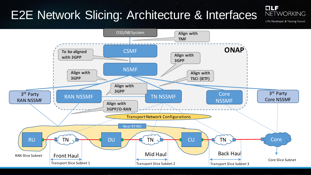### E2E Network Slicing: Architecture & Interfaces

**NETWORKING** 

t La

LFN Developer & Testing Forum

![](_page_3_Figure_3.jpeg)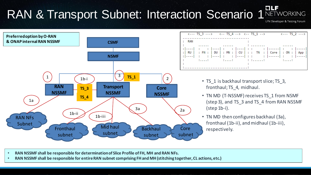![](_page_4_Figure_0.jpeg)

- **RAN NSSMF shall be responsible for determination of Slice Profile of FH, MH and RAN NFs.**
- **RAN NSSMF shall be responsible for entire RAN subnet comprising FH and MH (stitching together, CL actions, etc.)**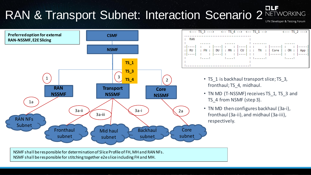### RAN & Transport Subnet: Interaction Scenario 2 NETWORKING

![](_page_5_Figure_1.jpeg)

FI E J

NSMF shall be responsible for determination of Slice Profile of FH, MH and RAN NFs. NSMF shall be responsible for stitching together e2e slice including FH and MH.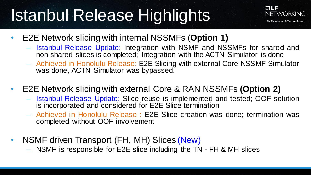# Istanbul Release Highlights

![](_page_6_Picture_1.jpeg)

- E2E Network slicing with internal NSSMFs (**Option 1)**
	- Istanbul Release Update: Integration with NSMF and NSSMFs for shared and non-shared slices is completed; Integration with the ACTN Simulator is done
	- Achieved in Honolulu Release: E2E Slicing with external Core NSSMF Simulator was done, ACTN Simulator was bypassed.
- E2E Network slicing with external Core & RAN NSSMFs **(Option 2)**
	- Istanbul Release Update: Slice reuse is implemented and tested; OOF solution is incorporated and considered for E2E Slice termination
	- Achieved in Honolulu Release : E2E Slice creation was done; termination was completed without OOF involvement
- NSMF driven Transport (FH, MH) Slices (New)
	- NSMF is responsible for E2E slice including the TN FH & MH slices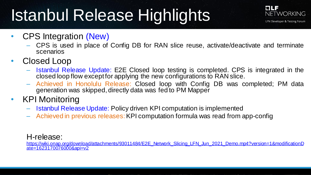# Istanbul Release Highlights

![](_page_7_Picture_1.jpeg)

- CPS Integration (New)
	- CPS is used in place of Config DB for RAN slice reuse, activate/deactivate and terminate scenarios
- Closed Loop
	- Istanbul Release Update: E2E Closed loop testing is completed. CPS is integrated in the closed loop flow except for applying the new configurations to RAN slice.
	- Achieved in Honolulu Release: Closed loop with Config DB was completed; PM data generation was skipped, directly data was fed to PM Mapper
- KPI Monitoring
	- Istanbul Release Update: Policy driven KPI computation is implemented
	- Achieved in previous releases:KPI computation formula was read from app-config

#### H-release:

[https://wiki.onap.org/download/attachments/93011484/E2E\\_Network\\_Slicing\\_LFN\\_Jun\\_2021\\_Demo.mp4?version=1&modificationD](https://wiki.onap.org/download/attachments/93011484/E2E_Network_Slicing_LFN_Jun_2021_Demo.mp4?version=1&modificationDate=1623170076000&api=v2) ate=1623170076000&api=v2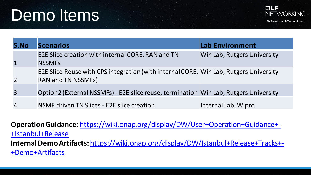## Demo Items

![](_page_8_Picture_1.jpeg)

| S.No           | <b>Scenarios</b>                                                                                                   | <b>Lab Environment</b>      |
|----------------|--------------------------------------------------------------------------------------------------------------------|-----------------------------|
| $\mathbf{1}$   | E2E Slice creation with internal CORE, RAN and TN<br><b>NSSMFs</b>                                                 | Win Lab, Rutgers University |
| 2 <sup>1</sup> | E2E Slice Reuse with CPS integration (with internal CORE, Win Lab, Rutgers University<br><b>RAN and TN NSSMFs)</b> |                             |
| $\overline{3}$ | Option2 (External NSSMFs) - E2E slice reuse, termination Win Lab, Rutgers University                               |                             |
| 4              | NSMF driven TN Slices - E2E slice creation                                                                         | Internal Lab, Wipro         |

**Operation Guidance:** [https://wiki.onap.org/display/DW/User+Operation+Guidance+-](https://wiki.onap.org/display/DW/User+Operation+Guidance+-+Istanbul+Release) +Istanbul+Release **Internal Demo Artifacts:** [https://wiki.onap.org/display/DW/Istanbul+Release+Tracks+-](https://wiki.onap.org/display/DW/Istanbul+Release+Tracks+-+Demo+Artifacts) +Demo+Artifacts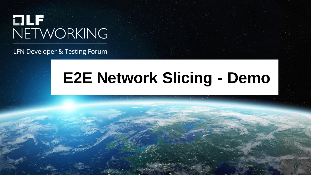# **OLF**<br>NETWORKING

LFN Developer & Testing Forum

### **E2E Network Slicing - Demo**

Sensitivity: Internal & Restricted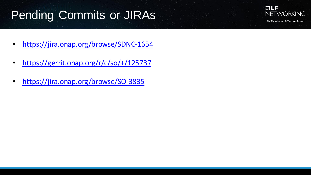### Pending Commits or JIRAs

![](_page_10_Picture_1.jpeg)

- <https://jira.onap.org/browse/SDNC-1654>
- <https://gerrit.onap.org/r/c/so/+/125737>
- <https://jira.onap.org/browse/SO-3835>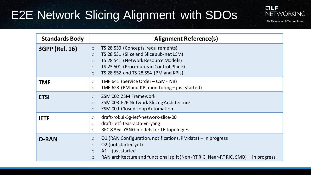### E2E Network Slicing Alignment with SDOs

![](_page_11_Picture_1.jpeg)

LFN Developer & Testing Forum

| <b>Standards Body</b> | <b>Alignment Reference(s)</b>                                                                                                                                                                                                                                   |
|-----------------------|-----------------------------------------------------------------------------------------------------------------------------------------------------------------------------------------------------------------------------------------------------------------|
| <b>3GPP (Rel. 16)</b> | TS 28.530 (Concepts, requirements)<br>$\circ$<br>TS 28.531 (Slice and Slice sub-net LCM)<br>$\circ$<br>TS 28.541 (Network Resource Models)<br>$\circ$<br>TS 23.501 (Procedures in Control Plane)<br>$\circ$<br>TS 28.552 and TS 28.554 (PM and KPIs)<br>$\circ$ |
| <b>TMF</b>            | TMF 641 (Service Order - CSMF NB)<br>$\circ$<br>TMF 628 (PM and KPI monitoring - just started)<br>$\circ$                                                                                                                                                       |
| <b>ETSI</b>           | ZSM 002 ZSM Framework<br>$\circ$<br>ZSM 003 E2E Network Slicing Architecture<br>$\circ$<br>ZSM 009 Closed-loop Automation<br>$\circ$                                                                                                                            |
| <b>IETF</b>           | draft-rokui-5g-ietf-network-slice-00<br>$\circ$<br>draft-ietf-teas-actn-vn-yang<br>$\circ$<br>RFC 8795: YANG models for TE topologies<br>$\circ$                                                                                                                |
| <b>O-RAN</b>          | O1 (RAN Configuration, notifications, PM data) – in progress<br>O<br>O2 (not started yet)<br>$\circ$<br>$A1$ – just started<br>$\circ$<br>RAN architecture and functional split (Non-RT RIC, Near-RT RIC, SMO) – in progress<br>$\circ$                         |